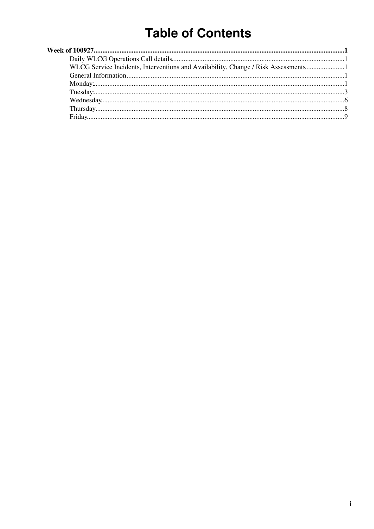# **Table of Contents**

| WLCG Service Incidents, Interventions and Availability, Change / Risk Assessments1 |  |
|------------------------------------------------------------------------------------|--|
|                                                                                    |  |
|                                                                                    |  |
|                                                                                    |  |
|                                                                                    |  |
|                                                                                    |  |
|                                                                                    |  |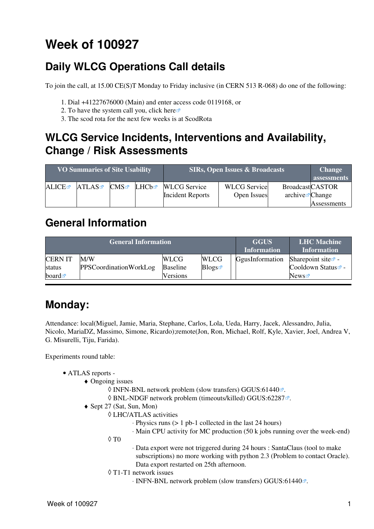# <span id="page-1-0"></span>**Week of 100927**

# <span id="page-1-1"></span>**Daily WLCG Operations Call details**

To join the call, at 15.00 CE(S)T Monday to Friday inclusive (in CERN 513 R-068) do one of the following:

- 1. Dial +41227676000 (Main) and enter access code 0119168, or
- 2. To have the system call you, click [here](https://audioconf.cern.ch/call/0119168) $\Phi$
- 3. The scod rota for the next few weeks is at [ScodRota](https://twiki.cern.ch/twiki/bin/view/LCG/ScodRota)

### <span id="page-1-2"></span>**WLCG Service Incidents, Interventions and Availability, Change / Risk Assessments**

| <b>VO Summaries of Site Usability</b> |       |     |       | <b>SIRs, Open Issues &amp; Broadcasts</b> | <b>Change</b><br>assessments |                             |             |
|---------------------------------------|-------|-----|-------|-------------------------------------------|------------------------------|-----------------------------|-------------|
| ALICE                                 | ATLAS | CMS | LHCb☞ | <b>WLCG</b> Service                       | <b>WLCG</b> Service          | <b>BroadcastCASTOR</b>      |             |
|                                       |       |     |       | <b>Incident Reports</b>                   | Open Issues                  | archive $\mathbb{Z}$ Change |             |
|                                       |       |     |       |                                           |                              |                             | Assessments |

### <span id="page-1-3"></span>**General Information**

|                      | <b>General Information</b> | <b>GGUS</b><br><b>Information</b> | <b>LHC</b> Machine<br><b>Information</b> |                 |                                |
|----------------------|----------------------------|-----------------------------------|------------------------------------------|-----------------|--------------------------------|
| <b>CERNIT</b>        | M/W                        | <b>WLCG</b>                       | <b>WLCG</b>                              | GgusInformation | Sharepoint site $\Phi$ -       |
| status               | PPSCoordinationWorkLog     | <b>Baseline</b>                   | Blogs                                    |                 | Cooldown Status <sup>®</sup> - |
| board $\blacksquare$ |                            | Versions                          |                                          |                 | News                           |

# <span id="page-1-4"></span>**Monday:**

Attendance: local(Miguel, Jamie, Maria, Stephane, Carlos, Lola, Ueda, Harry, Jacek, Alessandro, Julia, Nicolo, [MariaDZ](https://twiki.cern.ch/twiki/bin/edit/LCG/MariaDZ?topicparent=LCG.WLCGDailyMeetingsWeek100927;nowysiwyg=1), Massimo, Simone, Ricardo);remote(Jon, Ron, Michael, Rolf, Kyle, Xavier, Joel, Andrea V, G. Misurelli, Tiju, Farida).

- ATLAS [reports](https://twiki.cern.ch/twiki/bin/view/Atlas/ADCOperationsDailyReports)  •
	- Ongoing issues ♦
		- $\Diamond$  INFN-BNL network problem (slow transfers) [GGUS:61440](https://ggus.eu/ws/ticket_info.php?ticket=61440) $\degree$ .
		- $\Diamond$  BNL-NDGF network problem (timeouts/killed) [GGUS:62287](https://ggus.eu/ws/ticket_info.php?ticket=62287) $\mathbb{Z}$ .
	- Sept 27 (Sat, Sun, Mon) ♦
		- LHC/ATLAS activities ◊
			- ⋅ Physics runs (> 1 pb-1 collected in the last 24 hours)
			- ⋅ Main CPU activity for MC production (50 k jobs running over the week-end)
		- $\Diamond$  T $0$
- Data export were not triggered during 24 hours : [SantaClaus](https://twiki.cern.ch/twiki/bin/edit/LCG/SantaClaus?topicparent=LCG.WLCGDailyMeetingsWeek100927;nowysiwyg=1) (tool to make ⋅ subscriptions) no more working with python 2.3 (Problem to contact Oracle). Data export restarted on 25th afternoon.
- T1-T1 network issues ◊
	- ⋅ INFN-BNL network problem (slow transfers) [GGUS:61440](https://ggus.eu/ws/ticket_info.php?ticket=61440) .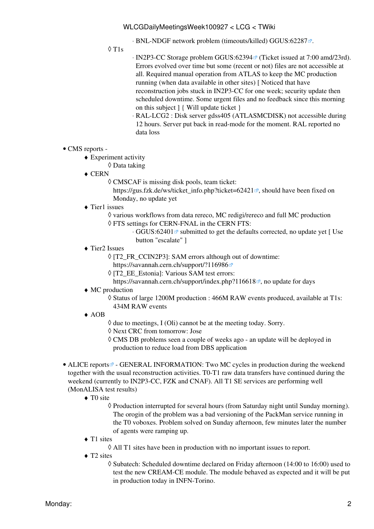⋅ BNL-NDGF network problem (timeouts/killed) [GGUS:62287](https://ggus.eu/ws/ticket_info.php?ticket=62287) .

T1s ◊

- ⋅ [IN2P3-](https://twiki.cern.ch/twiki/bin/view/LCG/IN2P3)CC Storage problem [GGUS:62394](https://ggus.eu/ws/ticket_info.php?ticket=62394) ® (Ticket issued at 7:00 amd/23rd). Errors evolved over time but some (recent or not) files are not accessible at all. Required manual operation from ATLAS to keep the MC production running (when data available in other sites) [ Noticed that have reconstruction jobs stuck in [IN2P3-](https://twiki.cern.ch/twiki/bin/view/LCG/IN2P3)CC for one week; security update then scheduled downtime. Some urgent files and no feedback since this morning on this subject ] { Will update ticket }
- [RAL](https://twiki.cern.ch/twiki/bin/view/LCG/RAL)-LCG2 : Disk server gdss405 (ATLASMCDISK) not accessible during ⋅ 12 hours. Server put back in read-mode for the moment. [RAL](https://twiki.cern.ch/twiki/bin/view/LCG/RAL) reported no data loss
- CMS [reports](https://twiki.cern.ch/twiki/bin/view/CMS/FacOps_WLCGdailyreports) -
	- Experiment activity ♦
		- ◊ Data taking
	- ◆ CERN
		- CMSCAF is missing disk pools, team ticket: ◊

https://gus.fzk.de/ws/ticket info.php?ticket=62421 $\mathbb{R}$ , should have been fixed on Monday, no update yet

- Tier1 issues ♦
	- ◊ various workflows from data rereco, MC redigi/rereco and full MC production FTS settings for CERN-FNAL in the CERN FTS: ◊
		- · GGUS:62401<sup>™</sup> submitted to get the defaults corrected, no update yet [ Use button "escalate" ]
- Tier2 Issues ♦
	- ◊ [T2\_FR\_CCIN2P3]: SAM errors although out of downtime:
	- <https://savannah.cern.ch/support/?116986>
	- ◊ [T2\_EE\_Estonia]: Various SAM test errors:
	- <https://savannah.cern.ch/support/index.php?116618><sup>,</sup> no update for days
- MC production ♦
	- Status of large 1200M production : 466M RAW events produced, available at T1s: ◊ 434M RAW events
- AOB ♦
- ◊ due to meetings, I (Oli) cannot be at the meeting today. Sorry.
- ◊ Next CRC from tomorrow: Jose
- CMS DB problems seen a couple of weeks ago an update will be deployed in ◊ production to reduce load from DBS application
- ALICE [reports](http://alien2.cern.ch/index.php?option=com_content&view=article&id=75&Itemid=129)<sup>®</sup> GENERAL INFORMATION: Two MC cycles in production during the weekend together with the usual reconstruction activities. T0-T1 raw data transfers have continued during the weekend (currently to [IN2P3-](https://twiki.cern.ch/twiki/bin/view/LCG/IN2P3)CC, FZK and CNAF). All T1 SE services are performing well ([MonALISA](https://twiki.cern.ch/twiki/bin/edit/LCG/MonALISA?topicparent=LCG.WLCGDailyMeetingsWeek100927;nowysiwyg=1) test results)
	- ◆ TO site
		- Production interrupted for several hours (from Saturday night until Sunday morning). ◊ The orogin of the problem was a bad versioning of the [PackMan](https://twiki.cern.ch/twiki/bin/edit/LCG/PackMan?topicparent=LCG.WLCGDailyMeetingsWeek100927;nowysiwyg=1) service running in the T0 voboxes. Problem solved on Sunday afternoon, few minutes later the number of agents were ramping up.
	- ◆ T1 sites
		- ◊ All T1 sites have been in production with no important issues to report.
	- ◆ T2 sites
		- ◊ Subatech: Scheduled downtime declared on Friday afternoon (14:00 to 16:00) used to test the new [CREAM](https://twiki.cern.ch/twiki/bin/view/LCG/CREAM)-CE module. The module behaved as expected and it will be put in production today in INFN-Torino.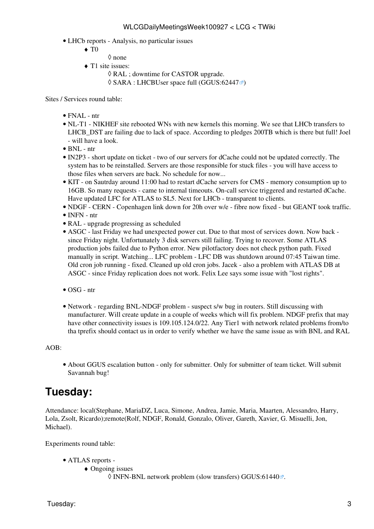- LHCb [reports](https://twiki.cern.ch/twiki/bin/view/LHCb/ProductionOperationsWLCGdailyReports)  Analysis, no particular issues
	- $\blacklozenge$  T<sub>0</sub>
		- ◊ none
	- ◆ T1 site issues:
		- ◊ [RAL](https://twiki.cern.ch/twiki/bin/view/LCG/RAL) ; downtime for CASTOR upgrade.
		- $\Diamond$  SARA : LHCBUser space full ([GGUS:62447](https://ggus.eu/ws/ticket_info.php?ticket=62447) $\degree$ )

Sites / Services round table:

- $\bullet$  FNAL ntr
- NL-T1 NIKHEF site rebooted WNs with new kernels this morning. We see that LHCb transfers to LHCB\_DST are failing due to lack of space. According to pledges 200TB which is there but full! Joel - will have a look.
- $\bullet$  BNL ntr
- [IN2P3](https://twiki.cern.ch/twiki/bin/view/LCG/IN2P3)  short update on ticket two of our servers for dCache could not be updated correctly. The system has to be reinstalled. Servers are those responsible for stuck files - you will have access to those files when servers are back. No schedule for now...
- KIT on Sautrday around 11:00 had to restart dCache servers for CMS memory consumption up to 16GB. So many requests - came to internal timeouts. On-call service triggered and restarted dCache. Have updated LFC for ATLAS to SL5. Next for LHCb - transparent to clients.
- NDGF CERN Copenhagen link down for 20h over w/e fibre now fixed but GEANT took traffic.
- INFN ntr
- [RAL](https://twiki.cern.ch/twiki/bin/view/LCG/RAL)  upgrade progressing as scheduled
- ASGC last Friday we had unexpected power cut. Due to that most of services down. Now back • since Friday night. Unfortunately 3 disk servers still failing. Trying to recover. Some ATLAS production jobs failed due to Python error. New pilotfactory does not check python path. Fixed manually in script. Watching... LFC problem - LFC DB was shutdown around 07:45 Taiwan time. Old cron job running - fixed. Cleaned up old cron jobs. Jacek - also a problem with ATLAS DB at ASGC - since Friday replication does not work. Felix Lee says some issue with "lost rights".
- OSG ntr
- Network regarding BNL-NDGF problem suspect s/w bug in routers. Still discussing with manufacturer. Will create update in a couple of weeks which will fix problem. NDGF prefix that may have other connectivity issues is 109.105.124.0/22. Any Tier1 with network related problems from/to tha tprefix should contact us in order to verify whether we have the same issue as with BNL and [RAL](https://twiki.cern.ch/twiki/bin/view/LCG/RAL)

#### AOB:

About GGUS escalation button - only for submitter. Only for submitter of team ticket. Will submit • Savannah bug!

### <span id="page-3-0"></span>**Tuesday:**

Attendance: local(Stephane, [MariaDZ,](https://twiki.cern.ch/twiki/bin/edit/LCG/MariaDZ?topicparent=LCG.WLCGDailyMeetingsWeek100927;nowysiwyg=1) Luca, Simone, Andrea, Jamie, Maria, Maarten, Alessandro, Harry, Lola, Zsolt, Ricardo);remote(Rolf, NDGF, Ronald, Gonzalo, Oliver, Gareth, Xavier, G. Misuelli, Jon, Michael).

- ATLAS [reports](https://twiki.cern.ch/twiki/bin/view/Atlas/ADCOperationsDailyReports)  •
	- Ongoing issues ♦
		- ◊ INFN-BNL network problem (slow transfers) [GGUS:61440](https://ggus.eu/ws/ticket_info.php?ticket=61440) .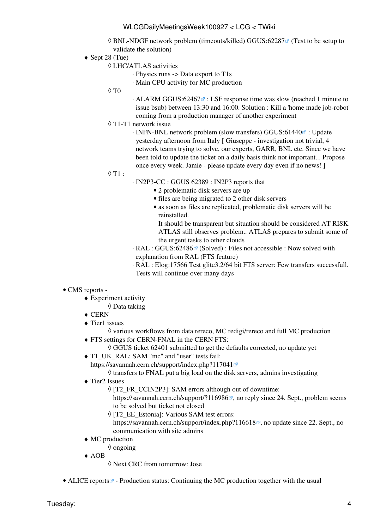- ◊ BNL-NDGF network problem (timeouts/killed) [GGUS:62287](https://ggus.eu/ws/ticket_info.php?ticket=62287) ø (Test to be setup to validate the solution)
- ◆ Sept 28 (Tue)
	- LHC/ATLAS activities ◊
		- ⋅ Physics runs -> Data export to T1s
		- ⋅ Main CPU activity for MC production
	- $\Diamond$  T $0$
- ⋅ ALARM [GGUS:62467](https://ggus.eu/ws/ticket_info.php?ticket=62467) ª : [LSF](https://twiki.cern.ch/twiki/bin/view/LCG/LSF) response time was slow (reached 1 minute to issue bsub) between 13:30 and 16:00. Solution : Kill a 'home made job-robot' coming from a production manager of another experiment
- T1-T1 network issue ◊
	- · INFN-BNL network problem (slow transfers) GGUS:61440<sup>a</sup> : Update yesterday afternoon from Italy [ Giuseppe - investigation not trivial, 4 network teams trying to solve, our experts, GARR, BNL etc. Since we have been told to update the ticket on a daily basis think not important... Propose once every week. Jamie - please update every day even if no news! ]
- $\lozenge$  T1 :
- [IN2P3-](https://twiki.cern.ch/twiki/bin/view/LCG/IN2P3)CC : GGUS 62389 : [IN2P3](https://twiki.cern.ch/twiki/bin/view/LCG/IN2P3) reports that ⋅
	- 2 problematic disk servers are up
	- files are being migrated to 2 other disk servers
	- as soon as files are replicated, problematic disk servers will be reinstalled.

It should be transparent but situation should be considered AT RISK. ATLAS still observes problem.. ATLAS prepares to submit some of the urgent tasks to other clouds

- ⋅ [RAL](https://twiki.cern.ch/twiki/bin/view/LCG/RAL) : [GGUS:62486](https://ggus.eu/ws/ticket_info.php?ticket=62486) ø (Solved) : Files not accessible : Now solved with explanation from [RAL](https://twiki.cern.ch/twiki/bin/view/LCG/RAL) (FTS feature)
- [RAL](https://twiki.cern.ch/twiki/bin/view/LCG/RAL) : Elog:17566 Test glite3.2/64 bit FTS server: Few transfers successfull. ⋅ Tests will continue over many days
- CMS [reports](https://twiki.cern.ch/twiki/bin/view/CMS/FacOps_WLCGdailyreports) -
	- Experiment activity ♦
	- ◊ Data taking
	- $\triangle$  CERN
	- Tier1 issues ♦
	- ◊ various workflows from data rereco, MC redigi/rereco and full MC production FTS settings for CERN-FNAL in the CERN FTS: ♦
		- ◊ GGUS ticket 62401 submitted to get the defaults corrected, no update yet
	- T1\_UK\_RAL: SAM "mc" and "user" tests fail: ♦

<https://savannah.cern.ch/support/index.php?117041>

◊ transfers to FNAL put a big load on the disk servers, admins investigating

- Tier2 Issues ♦
	- [T2\_FR\_CCIN2P3]: SAM errors although out of downtime: ◊
		- <https://savannah.cern.ch/support/?116986><sup> $\alpha$ </sup>, no reply since 24. Sept., problem seems to be solved but ticket not closed
	- ◊ [T2\_EE\_Estonia]: Various SAM test errors:

<https://savannah.cern.ch/support/index.php?116618><sup> $\alpha$ </sup>, no update since 22. Sept., no communication with site admins

- MC production ♦
	- ◊ ongoing
- AOB ♦
	- ◊ Next CRC from tomorrow: Jose

• ALICE [reports](http://alien2.cern.ch/index.php?option=com_content&view=article&id=75&Itemid=129) <sup>-</sup> Production status: Continuing the MC production together with the usual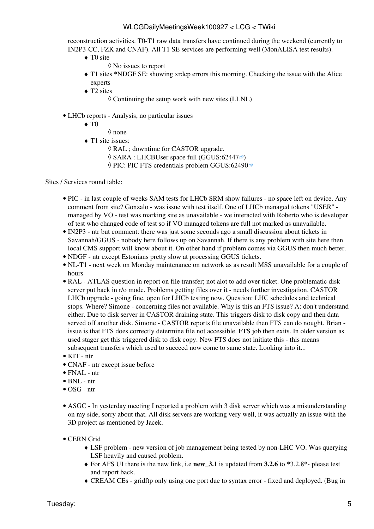reconstruction activities. T0-T1 raw data transfers have continued during the weekend (currently to [IN2P3-](https://twiki.cern.ch/twiki/bin/view/LCG/IN2P3)CC, FZK and CNAF). All T1 SE services are performing well [\(MonALISA](https://twiki.cern.ch/twiki/bin/edit/LCG/MonALISA?topicparent=LCG.WLCGDailyMeetingsWeek100927;nowysiwyg=1) test results).

- ◆ TO site
	- ◊ No issues to report
- T1 sites \*NDGF SE: showing xrdcp errors this morning. Checking the issue with the Alice ♦ experts
- ◆ T2 sites
	- $\Diamond$  Continuing the setup work with new sites (LLNL)
- LHCb [reports](https://twiki.cern.ch/twiki/bin/view/LHCb/ProductionOperationsWLCGdailyReports)  Analysis, no particular issues
	- $\blacklozenge$  T<sub>0</sub>
		- ◊ none
	- ◆ T1 site issues:
		- ◊ [RAL](https://twiki.cern.ch/twiki/bin/view/LCG/RAL) ; downtime for CASTOR upgrade.
		- $\Diamond$  SARA : LHCBUser space full ([GGUS:62447](https://ggus.eu/ws/ticket_info.php?ticket=62447) $\degree$ )
		- ◊ PIC: PIC FTS credentials problem [GGUS:62490](https://ggus.eu/ws/ticket_info.php?ticket=62490)

#### Sites / Services round table:

- PIC in last couple of weeks SAM tests for LHCb SRM show failures no space left on device. Any comment from site? Gonzalo - was issue with test itself. One of LHCb managed tokens "USER" managed by VO - test was marking site as unavailable - we interacted with Roberto who is developer of test who changed code of test so if VO managed tokens are full not marked as unavailable.
- [IN2P3](https://twiki.cern.ch/twiki/bin/view/LCG/IN2P3)  ntr but comment: there was just some seconds ago a small discussion about tickets in Savannah/GGUS - nobody here follows up on Savannah. If there is any problem with site here then local CMS support will know about it. On other hand if problem comes via GGUS then much better.
- NDGF ntr except Estonians pretty slow at processing GGUS tickets.
- NL-T1 next week on Monday maintenance on network as as result MSS unavailable for a couple of hours
- [RAL](https://twiki.cern.ch/twiki/bin/view/LCG/RAL)  ATLAS question in report on file transfer; not alot to add over ticket. One problematic disk server put back in r/o mode. Problems getting files over it - needs further investigation. CASTOR LHCb upgrade - going fine, open for LHCb testing now. Question: LHC schedules and technical stops. Where? Simone - concerning files not available. Why is this an FTS issue? A: don't understand either. Due to disk server in CASTOR draining state. This triggers disk to disk copy and then data served off another disk. Simone - CASTOR reports file unavailable then FTS can do nought. Brian issue is that FTS does correctly determine file not accessible. FTS job then exits. In older version as used stager get this triggered disk to disk copy. New FTS does not initiate this - this means subsequent transfers which used to succeed now come to same state. Looking into it...
- KIT ntr
- CNAF ntr except issue before
- FNAL ntr
- BNL ntr
- OSG ntr
- ASGC In yesterday meeting I reported a problem with 3 disk server which was a misunderstanding on my side, sorry about that. All disk servers are working very well, it was actually an issue with the 3D project as mentioned by Jacek.
- CERN Grid
	- [LSF](https://twiki.cern.ch/twiki/bin/view/LCG/LSF) problem new version of job management being tested by non-LHC VO. Was querying ♦ [LSF](https://twiki.cern.ch/twiki/bin/view/LCG/LSF) heavily and caused problem.
	- For AFS UI there is the new link, i.e **new\_3.1** is updated from **3.2.6** to \*3.2.8\*- please test ♦ and report back.
	- ♦ [CREAM](https://twiki.cern.ch/twiki/bin/view/LCG/CREAM) CEs gridftp only using one port due to syntax error fixed and deployed. (Bug in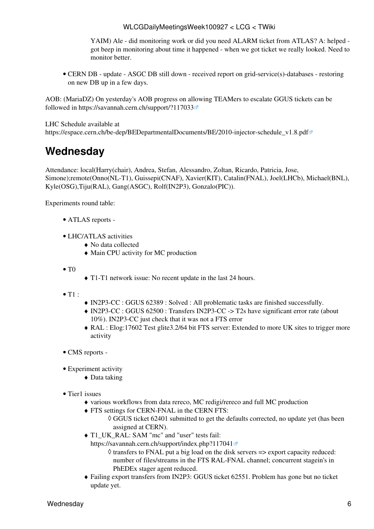YAIM) Ale - did monitoring work or did you need ALARM ticket from ATLAS? A: helped got beep in monitoring about time it happened - when we got ticket we really looked. Need to monitor better.

• CERN DB - update - ASGC DB still down - received report on grid-service(s)-databases - restoring on new DB up in a few days.

AOB: ([MariaDZ\)](https://twiki.cern.ch/twiki/bin/edit/LCG/MariaDZ?topicparent=LCG.WLCGDailyMeetingsWeek100927;nowysiwyg=1) On yesterday's AOB progress on allowing TEAMers to escalate GGUS tickets can be followed in<https://savannah.cern.ch/support/?117033>

LHC Schedule available at

[https://espace.cern.ch/be-dep/BEDepartmentalDocuments/BE/2010-injector-schedule\\_v1.8.pdf](https://espace.cern.ch/be-dep/BEDepartmentalDocuments/BE/2010-injector-schedule_v1.8.pdf)

## <span id="page-6-0"></span>**Wednesday**

Attendance: local(Harry(chair), Andrea, Stefan, Alessandro, Zoltan, Ricardo, Patricia, Jose, Simone);remote(Onno(NL-T1), Guissepi(CNAF), Xavier(KIT), Catalin(FNAL), Joel(LHCb), Michael(BNL), Kyle(OSG),Tiju([RAL\)](https://twiki.cern.ch/twiki/bin/view/LCG/RAL), Gang(ASGC), Rolf([IN2P3\)](https://twiki.cern.ch/twiki/bin/view/LCG/IN2P3), Gonzalo(PIC)).

- ATLAS [reports](https://twiki.cern.ch/twiki/bin/view/Atlas/ADCOperationsDailyReports) -
- LHC/ATLAS activities
	- ♦ No data collected
	- ♦ Main CPU activity for MC production
- $\bullet$  T<sub>0</sub>
- ♦ T1-T1 network issue: No recent update in the last 24 hours.
- $\bullet$  T1 :
- ♦ [IN2P3-](https://twiki.cern.ch/twiki/bin/view/LCG/IN2P3)CC : GGUS 62389 : Solved : All problematic tasks are finished successfully.
- [IN2P3-](https://twiki.cern.ch/twiki/bin/view/LCG/IN2P3)CC : GGUS 62500 : Transfers [IN2P3](https://twiki.cern.ch/twiki/bin/view/LCG/IN2P3)-CC -> T2s have significant error rate (about ♦ 10%). [IN2P3](https://twiki.cern.ch/twiki/bin/view/LCG/IN2P3)-CC just check that it was not a FTS error
- [RAL](https://twiki.cern.ch/twiki/bin/view/LCG/RAL) : Elog:17602 Test glite3.2/64 bit FTS server: Extended to more UK sites to trigger more ♦ activity
- CMS [reports](https://twiki.cern.ch/twiki/bin/view/CMS/FacOps_WLCGdailyreports) -
- Experiment activity
	- ◆ Data taking
- Tier1 issues
	- ♦ various workflows from data rereco, MC redigi/rereco and full MC production
	- FTS settings for CERN-FNAL in the CERN FTS: ♦
		- GGUS ticket 62401 submitted to get the defaults corrected, no update yet (has been ◊ assigned at CERN).
	- T1\_UK\_RAL: SAM "mc" and "user" tests fail: ♦
		- <https://savannah.cern.ch/support/index.php?117041>
			- ◊ transfers to FNAL put a big load on the disk servers => export capacity reduced: number of files/streams in the FTS [RAL-](https://twiki.cern.ch/twiki/bin/view/LCG/RAL)FNAL channel; concurrent stagein's in [PhEDEx](https://twiki.cern.ch/twiki/bin/view/LCG/PhEDEx) stager agent reduced.
	- Failing export transfers from [IN2P3](https://twiki.cern.ch/twiki/bin/view/LCG/IN2P3): GGUS ticket 62551. Problem has gone but no ticket ♦ update yet.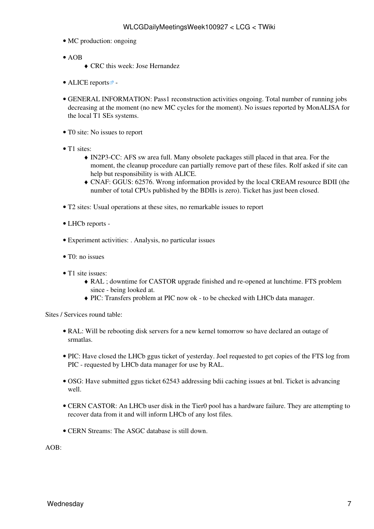- MC production: ongoing
- $\bullet$  AOB
	- ♦ CRC this week: Jose Hernandez
- ALICE [reports](http://alien2.cern.ch/index.php?option=com_content&view=article&id=75&Itemid=129) $\vec{r}$  -
- GENERAL INFORMATION: Pass1 reconstruction activities ongoing. Total number of running jobs decreasing at the moment (no new MC cycles for the moment). No issues reported by [MonALISA](https://twiki.cern.ch/twiki/bin/edit/LCG/MonALISA?topicparent=LCG.WLCGDailyMeetingsWeek100927;nowysiwyg=1) for the local T1 SEs systems.
- TO site: No issues to report
- T1 sites:
	- [IN2P3-](https://twiki.cern.ch/twiki/bin/view/LCG/IN2P3)CC: AFS sw area full. Many obsolete packages still placed in that area. For the ♦ moment, the cleanup procedure can partially remove part of these files. Rolf asked if site can help but responsibility is with ALICE.
	- CNAF: GGUS: 62576. Wrong information provided by the local [CREAM](https://twiki.cern.ch/twiki/bin/view/LCG/CREAM) resource BDII (the ♦ number of total CPUs published by the BDIIs is zero). Ticket has just been closed.
- T2 sites: Usual operations at these sites, no remarkable issues to report
- LHCb [reports](https://twiki.cern.ch/twiki/bin/view/LHCb/ProductionOperationsWLCGdailyReports) -
- Experiment activities: . Analysis, no particular issues
- T0: no issues
- T1 site issues:
	- [RAL](https://twiki.cern.ch/twiki/bin/view/LCG/RAL) ; downtime for CASTOR upgrade finished and re-opened at lunchtime. FTS problem ♦ since - being looked at.
	- ♦ PIC: Transfers problem at PIC now ok to be checked with LHCb data manager.

Sites / Services round table:

- [RAL](https://twiki.cern.ch/twiki/bin/view/LCG/RAL): Will be rebooting disk servers for a new kernel tomorrow so have declared an outage of srmatlas.
- PIC: Have closed the LHCb ggus ticket of yesterday. Joel requested to get copies of the FTS log from PIC - requested by LHCb data manager for use by [RAL.](https://twiki.cern.ch/twiki/bin/view/LCG/RAL)
- OSG: Have submitted ggus ticket 62543 addressing bdii caching issues at bnl. Ticket is advancing well.
- CERN CASTOR: An LHCb user disk in the Tier0 pool has a hardware failure. They are attempting to recover data from it and will inform LHCb of any lost files.
- CERN Streams: The ASGC database is still down.

AOB: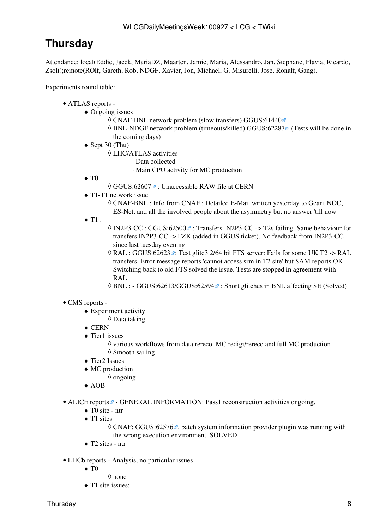## <span id="page-8-0"></span>**Thursday**

Attendance: local(Eddie, Jacek, [MariaDZ,](https://twiki.cern.ch/twiki/bin/edit/LCG/MariaDZ?topicparent=LCG.WLCGDailyMeetingsWeek100927;nowysiwyg=1) Maarten, Jamie, Maria, Alessandro, Jan, Stephane, Flavia, Ricardo, Zsolt);remote(ROlf, Gareth, Rob, NDGF, Xavier, Jon, Michael, G. Misurelli, Jose, Ronalf, Gang).

Experiments round table:

#### ATLAS [reports](https://twiki.cern.ch/twiki/bin/view/Atlas/ADCOperationsDailyReports) - •

- Ongoing issues ♦
	- ◊ CNAF-BNL network problem (slow transfers) [GGUS:61440](https://ggus.eu/ws/ticket_info.php?ticket=61440) .
	- ◊ BNL-NDGF network problem (timeouts/killed) [GGUS:62287](https://ggus.eu/ws/ticket_info.php?ticket=62287) ø (Tests will be done in the coming days)
	- ◆ Sept 30 (Thu)
		- LHC/ATLAS activities ◊
			- ⋅ Data collected
				- ⋅ Main CPU activity for MC production
	- $\blacklozenge$  T<sub>0</sub>

 $\Diamond$  GGUS:62607 $\vec{r}$ : Unaccessible RAW file at CERN

- T1-T1 network issue ♦
	- CNAF-BNL : Info from CNAF : Detailed E-Mail written yesterday to Geant NOC, ◊ ES-Net, and all the involved people about the asymmetry but no answer 'till now
- $\blacklozenge$  T1 :
- © [IN2P3-](https://twiki.cern.ch/twiki/bin/view/LCG/IN2P3)CC : [GGUS:62500](https://ggus.eu/ws/ticket_info.php?ticket=62500) <sup>a</sup> : Transfers [IN2P3](https://twiki.cern.ch/twiki/bin/view/LCG/IN2P3)-CC -> T2s failing. Same behaviour for transfers [IN2P3](https://twiki.cern.ch/twiki/bin/view/LCG/IN2P3)-CC -> FZK (added in GGUS ticket). No feedback from [IN2P3](https://twiki.cern.ch/twiki/bin/view/LCG/IN2P3)-CC since last tuesday evening
- 0 [RAL](https://twiki.cern.ch/twiki/bin/view/LCG/RAL) : [GGUS:62623](https://ggus.eu/ws/ticket_info.php?ticket=62623)₫: Test glite3.2/64 bit FTS server: Fails for some UK T2 -> RAL transfers. Error message reports 'cannot access srm in T2 site' but SAM reports OK. Switching back to old FTS solved the issue. Tests are stopped in agreement with [RAL](https://twiki.cern.ch/twiki/bin/view/LCG/RAL)
- $\Diamond$  BNL : [GGUS:62613/GGUS:62594](https://ggus.eu/ws/ticket_info.php?ticket=62613/GGUS:62594) $\degree$ : Short glitches in BNL affecting SE (Solved)

#### • CMS [reports](https://twiki.cern.ch/twiki/bin/view/CMS/FacOps_WLCGdailyreports) -

- Experiment activity ♦
	- ◊ Data taking
- $\triangle$  CERN
- Tier1 issues ♦

◊ various workflows from data rereco, MC redigi/rereco and full MC production ◊ Smooth sailing

- ♦ Tier2 Issues
- MC production ♦
	- ◊ ongoing
- ♦ AOB
- ALICE [reports](http://alien2.cern.ch/index.php?option=com_content&view=article&id=75&Itemid=129)<sup>®</sup> GENERAL INFORMATION: Pass1 reconstruction activities ongoing.
	- $\triangle$  T0 site ntr
	- ◆ T1 sites

© CNAF: [GGUS:62576](https://ggus.eu/ws/ticket_info.php?ticket=62576) <sup>®</sup>. batch system information provider plugin was running with the wrong execution environment. SOLVED

- ♦ T2 sites ntr
- LHCb [reports](https://twiki.cern.ch/twiki/bin/view/LHCb/ProductionOperationsWLCGdailyReports)  Analysis, no particular issues
	- $\blacklozenge$  T<sub>0</sub>
- ◊ none
- ◆ T1 site issues: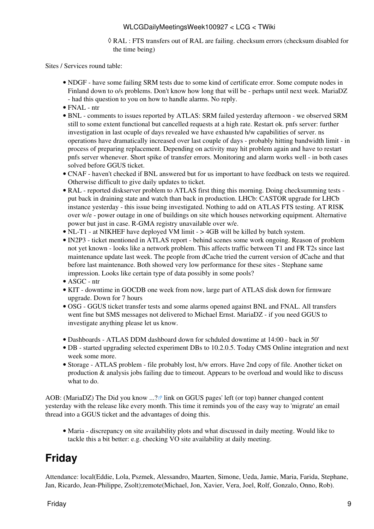[RAL](https://twiki.cern.ch/twiki/bin/view/LCG/RAL) : FTS transfers out of [RAL](https://twiki.cern.ch/twiki/bin/view/LCG/RAL) are failing. checksum errors (checksum disabled for ◊ the time being)

Sites / Services round table:

- NDGF have some failing SRM tests due to some kind of certificate error. Some compute nodes in Finland down to o/s problems. Don't know how long that will be - perhaps until next week. [MariaDZ](https://twiki.cern.ch/twiki/bin/edit/LCG/MariaDZ?topicparent=LCG.WLCGDailyMeetingsWeek100927;nowysiwyg=1) - had this question to you on how to handle alarms. No reply.
- FNAL ntr
- BNL comments to issues reported by ATLAS: SRM failed yesterday afternoon we observed SRM still to some extent functional but cancelled requests at a high rate. Restart ok. pnfs server: further investigation in last ocuple of days revealed we have exhausted h/w capabilities of server. ns operations have dramatically increased over last couple of days - probably hitting bandwidth limit - in process of preparing replacement. Depending on activity may hit problem again and have to restart pnfs server whenever. Short spike of transfer errors. Monitoring and alarm works well - in both cases solved before GGUS ticket.
- CNAF haven't checked if BNL answered but for us important to have feedback on tests we required. Otherwise difficult to give daily updates to ticket.
- [RAL](https://twiki.cern.ch/twiki/bin/view/LCG/RAL) reported diskserver problem to ATLAS first thing this morning. Doing checksumming tests put back in draining state and watch than back in production. LHCb: CASTOR upgrade for LHCb instance yesterday - this issue being investigated. Nothing to add on ATLAS FTS testing. AT RISK over w/e - power outage in one of buildings on site which houses networking equipment. Alternative power but just in case. R-GMA registry unavailable over w/e.
- NL-T1 at NIKHEF have deployed VM limit > 4GB will be killed by batch system.
- [IN2P3](https://twiki.cern.ch/twiki/bin/view/LCG/IN2P3)  ticket mentioned in ATLAS report behind scenes some work ongoing. Reason of problem not yet known - looks like a network problem. This affects traffic between T1 and FR T2s since last maintenance update last week. The people from dCache tried the current version of dCache and that before last maintenance. Both showed very low performance for these sites - Stephane same impression. Looks like certain type of data possibly in some pools?
- ASGC ntr
- KIT downtime in GOCDB one week from now, large part of ATLAS disk down for firmware upgrade. Down for 7 hours
- OSG GGUS ticket transfer tests and some alarms opened against BNL and FNAL. All transfers went fine but SMS messages not delivered to Michael Ernst. [MariaDZ](https://twiki.cern.ch/twiki/bin/edit/LCG/MariaDZ?topicparent=LCG.WLCGDailyMeetingsWeek100927;nowysiwyg=1) - if you need GGUS to investigate anything please let us know.
- Dashboards ATLAS DDM dashboard down for schduled downtime at 14:00 back in 50'
- DB started upgrading selected experiment DBs to 10.2.0.5. Today CMS Online integration and next week some more.
- Storage ATLAS problem file probably lost, h/w errors. Have 2nd copy of file. Another ticket on production & analysis jobs failing due to timeout. Appears to be overload and would like to discuss what to do.

AOB: ([MariaDZ\)](https://twiki.cern.ch/twiki/bin/edit/LCG/MariaDZ?topicparent=LCG.WLCGDailyMeetingsWeek100927;nowysiwyg=1) The [Did you know ...?](https://gus.fzk.de/pages/didyouknow.php) Ink on GGUS pages' left (or top) banner changed content yesterday with the release like every month. This time it reminds you of the easy way to 'migrate' an email thread into a GGUS ticket and the advantages of doing this.

Maria - discrepancy on site availability plots and what discussed in daily meeting. Would like to • tackle this a bit better: e.g. checking VO site availability at daily meeting.

### <span id="page-9-0"></span>**Friday**

Attendance: local(Eddie, Lola, Pszmek, Alessandro, Maarten, Simone, Ueda, Jamie, Maria, Farida, Stephane, Jan, Ricardo, Jean-Philippe, Zsolt);remote(Michael, Jon, Xavier, Vera, Joel, Rolf, Gonzalo, Onno, Rob).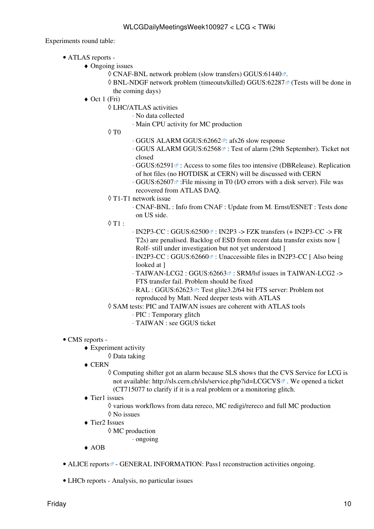- ATLAS [reports](https://twiki.cern.ch/twiki/bin/view/Atlas/ADCOperationsDailyReports)  •
	- Ongoing issues ♦
		- $\Diamond$  CNAF-BNL network problem (slow transfers) [GGUS:61440](https://ggus.eu/ws/ticket_info.php?ticket=61440) $\degree$ .
		- ◊ BNL-NDGF network problem (timeouts/killed) [GGUS:62287](https://ggus.eu/ws/ticket_info.php?ticket=62287) ø (Tests will be done in the coming days)
	- ◆ Oct 1 (Fri)
		- LHC/ATLAS activities ◊
			- ⋅ No data collected
			- ⋅ Main CPU activity for MC production
		- $\Diamond$  T $0$
- ⋅ GGUS ALARM [GGUS:62662](https://ggus.eu/ws/ticket_info.php?ticket=62662) : afs26 slow response
- · GGUS ALARM [GGUS:62568](https://ggus.eu/ws/ticket_info.php?ticket=62568)<sup>a</sup> : Test of alarm (29th September). Ticket not closed
- ⋅ [GGUS:62591](https://ggus.eu/ws/ticket_info.php?ticket=62591) ® : Access to some files too intensive (DBRelease). Replication of hot files (no HOTDISK at CERN) will be discussed with CERN
- · [GGUS:62607](https://ggus.eu/ws/ticket_info.php?ticket=62607) <sup>∞</sup> :File missing in T0 (I/O errors with a disk server). File was recovered from ATLAS DAQ.
- T1-T1 network issue ◊
	- CNAF-BNL : Info from CNAF : Update from M. Ernst/ESNET : Tests done ⋅ on US side.
- $\lozenge$  T1 :
- · [IN2P3-](https://twiki.cern.ch/twiki/bin/view/LCG/IN2P3)CC : GGUS:62500☞ : [IN2P3](https://twiki.cern.ch/twiki/bin/view/LCG/IN2P3) -> FZK transfers (+ IN2P3-CC -> FR T2s) are penalised. Backlog of ESD from recent data transfer exists now [ Rolf- still under investigation but not yet understood ]
- ⋅ [IN2P3-](https://twiki.cern.ch/twiki/bin/view/LCG/IN2P3)CC : GGUS:62660<sup>a</sup> : Unaccessible files in [IN2P3](https://twiki.cern.ch/twiki/bin/view/LCG/IN2P3)-CC [ Also being looked at 1
- · TAIWAN-LCG2 : [GGUS:62663](https://ggus.eu/ws/ticket_info.php?ticket=62663) <sup>a</sup> : SRM/lsf issues in TAIWAN-LCG2 -> FTS transfer fail. Problem should be fixed
- · [RAL](https://twiki.cern.ch/twiki/bin/view/LCG/RAL) : [GGUS:62623](https://ggus.eu/ws/ticket_info.php?ticket=62623) ☞: Test glite3.2/64 bit FTS server: Problem not reproduced by Matt. Need deeper tests with ATLAS
- SAM tests: PIC and TAIWAN issues are coherent with ATLAS tools ◊
	- ⋅ PIC : Temporary glitch
	- ⋅ TAIWAN : see GGUS ticket
- CMS [reports](https://twiki.cern.ch/twiki/bin/view/CMS/FacOps_WLCGdailyreports) -
	- Experiment activity ♦
		- ◊ Data taking
	- CERN ♦
		- Computing shifter got an alarm because SLS shows that the CVS Service for LCG is ◊ not available:<http://sls.cern.ch/sls/service.php?id=LCGCVS>**.** We opened a ticket (CT715077 to clarify if it is a real problem or a monitoring glitch.
	- Tier1 issues ♦
		- ◊ various workflows from data rereco, MC redigi/rereco and full MC production ◊ No issues
	- Tier2 Issues ♦
		- MC production ◊
			- ⋅ ongoing
	- ♦ AOB
- ALICE [reports](http://alien2.cern.ch/index.php?option=com_content&view=article&id=75&Itemid=129) $\mathcal{P}$  GENERAL INFORMATION: Pass1 reconstruction activities ongoing.
- LHCb [reports](https://twiki.cern.ch/twiki/bin/view/LHCb/ProductionOperationsWLCGdailyReports)  Analysis, no particular issues